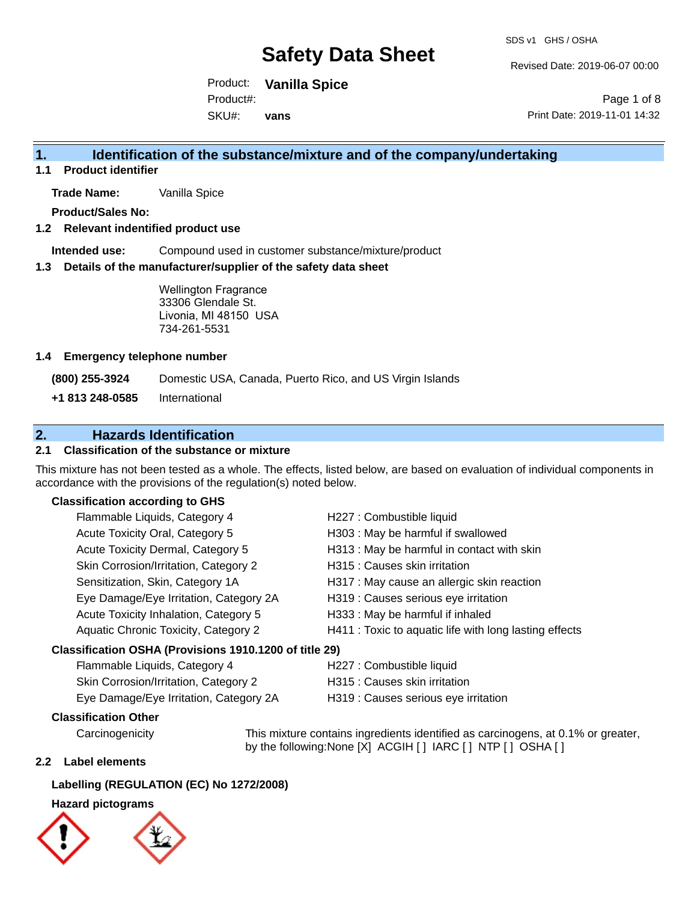Revised Date: 2019-06-07 00:00

Product: **Vanilla Spice** SKU#: Product#: **vans**

Page 1 of 8 Print Date: 2019-11-01 14:32

### **1. Identification of the substance/mixture and of the company/undertaking**

**1.1 Product identifier**

**Trade Name:** Vanilla Spice

**Product/Sales No:**

#### **1.2 Relevant indentified product use**

**Intended use:** Compound used in customer substance/mixture/product

#### **1.3 Details of the manufacturer/supplier of the safety data sheet**

Wellington Fragrance 33306 Glendale St. Livonia, MI 48150 USA 734-261-5531

#### **1.4 Emergency telephone number**

**(800) 255-3924** Domestic USA, Canada, Puerto Rico, and US Virgin Islands

**+1 813 248-0585** International

### **2. Hazards Identification**

#### **2.1 Classification of the substance or mixture**

This mixture has not been tested as a whole. The effects, listed below, are based on evaluation of individual components in accordance with the provisions of the regulation(s) noted below.

#### **Classification according to GHS**

| Flammable Liquids, Category 4                          | H227 : Combustible liquid                              |
|--------------------------------------------------------|--------------------------------------------------------|
| Acute Toxicity Oral, Category 5                        | H303 : May be harmful if swallowed                     |
| Acute Toxicity Dermal, Category 5                      | H313 : May be harmful in contact with skin             |
| Skin Corrosion/Irritation, Category 2                  | H315 : Causes skin irritation                          |
| Sensitization, Skin, Category 1A                       | H317 : May cause an allergic skin reaction             |
| Eye Damage/Eye Irritation, Category 2A                 | H319 : Causes serious eye irritation                   |
| Acute Toxicity Inhalation, Category 5                  | H333: May be harmful if inhaled                        |
| Aquatic Chronic Toxicity, Category 2                   | H411 : Toxic to aquatic life with long lasting effects |
| Classification OSHA (Provisions 1910.1200 of title 29) |                                                        |
| Flammable Liquids, Category 4                          | H227 · Combustible liquid                              |

| Flammable Liquids, Category 4          | H227 : Combustible liquid            |
|----------------------------------------|--------------------------------------|
| Skin Corrosion/Irritation, Category 2  | H315 : Causes skin irritation        |
| Eye Damage/Eye Irritation, Category 2A | H319 : Causes serious eye irritation |

#### **Classification Other**

Carcinogenicity This mixture contains ingredients identified as carcinogens, at 0.1% or greater, by the following:None [X] ACGIH [ ] IARC [ ] NTP [ ] OSHA [ ]

#### **2.2 Label elements**

#### **Labelling (REGULATION (EC) No 1272/2008)**

#### **Hazard pictograms**



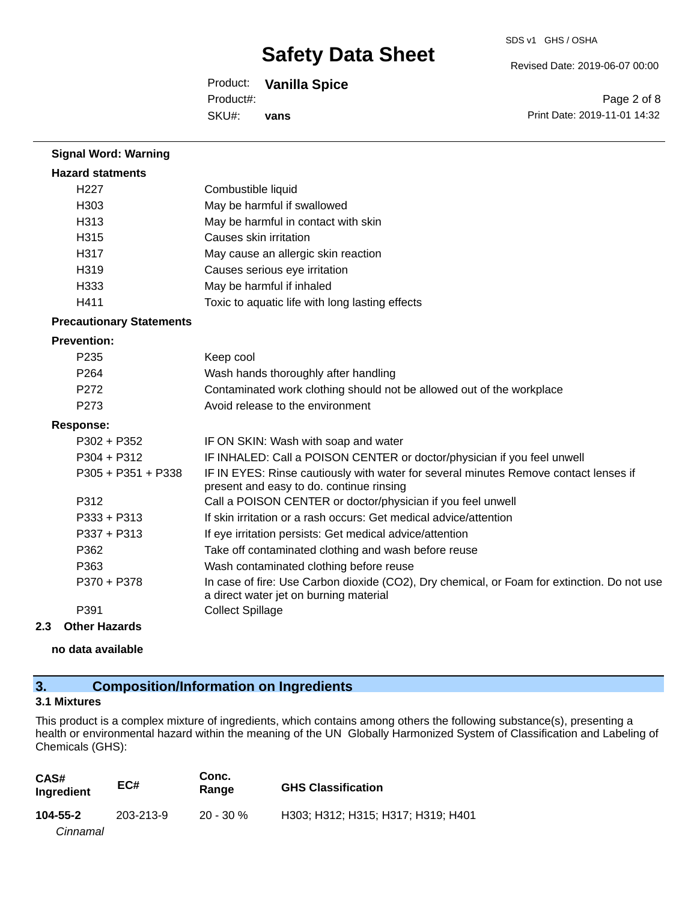Revised Date: 2019-06-07 00:00

Product: **Vanilla Spice** Product#:

SKU#: **vans**

Page 2 of 8 Print Date: 2019-11-01 14:32

| <b>Signal Word: Warning</b>     |                                                                                                                                       |
|---------------------------------|---------------------------------------------------------------------------------------------------------------------------------------|
| <b>Hazard statments</b>         |                                                                                                                                       |
| H <sub>227</sub>                | Combustible liquid                                                                                                                    |
| H303                            | May be harmful if swallowed                                                                                                           |
| H313                            | May be harmful in contact with skin                                                                                                   |
| H315                            | Causes skin irritation                                                                                                                |
| H317                            | May cause an allergic skin reaction                                                                                                   |
| H319                            | Causes serious eye irritation                                                                                                         |
| H333                            | May be harmful if inhaled                                                                                                             |
| H411                            | Toxic to aquatic life with long lasting effects                                                                                       |
| <b>Precautionary Statements</b> |                                                                                                                                       |
| <b>Prevention:</b>              |                                                                                                                                       |
| P <sub>235</sub>                | Keep cool                                                                                                                             |
| P <sub>264</sub>                | Wash hands thoroughly after handling                                                                                                  |
| P <sub>272</sub>                | Contaminated work clothing should not be allowed out of the workplace                                                                 |
| P <sub>273</sub>                | Avoid release to the environment                                                                                                      |
| <b>Response:</b>                |                                                                                                                                       |
| P302 + P352                     | IF ON SKIN: Wash with soap and water                                                                                                  |
| $P304 + P312$                   | IF INHALED: Call a POISON CENTER or doctor/physician if you feel unwell                                                               |
| $P305 + P351 + P338$            | IF IN EYES: Rinse cautiously with water for several minutes Remove contact lenses if<br>present and easy to do. continue rinsing      |
| P312                            | Call a POISON CENTER or doctor/physician if you feel unwell                                                                           |
| $P333 + P313$                   | If skin irritation or a rash occurs: Get medical advice/attention                                                                     |
| $P337 + P313$                   | If eye irritation persists: Get medical advice/attention                                                                              |
| P362                            | Take off contaminated clothing and wash before reuse                                                                                  |
| P363                            | Wash contaminated clothing before reuse                                                                                               |
| P370 + P378                     | In case of fire: Use Carbon dioxide (CO2), Dry chemical, or Foam for extinction. Do not use<br>a direct water jet on burning material |
| P391                            | <b>Collect Spillage</b>                                                                                                               |

#### **2.3 Other Hazards**

**no data available**

### **3. Composition/Information on Ingredients**

#### **3.1 Mixtures**

This product is a complex mixture of ingredients, which contains among others the following substance(s), presenting a health or environmental hazard within the meaning of the UN Globally Harmonized System of Classification and Labeling of Chemicals (GHS):

| CAS#<br>Ingredient | EC#       | Conc.<br>Range | <b>GHS Classification</b>          |
|--------------------|-----------|----------------|------------------------------------|
| 104-55-2           | 203-213-9 | $20 - 30 \%$   | H303: H312: H315: H317: H319: H401 |
| Cinnamal           |           |                |                                    |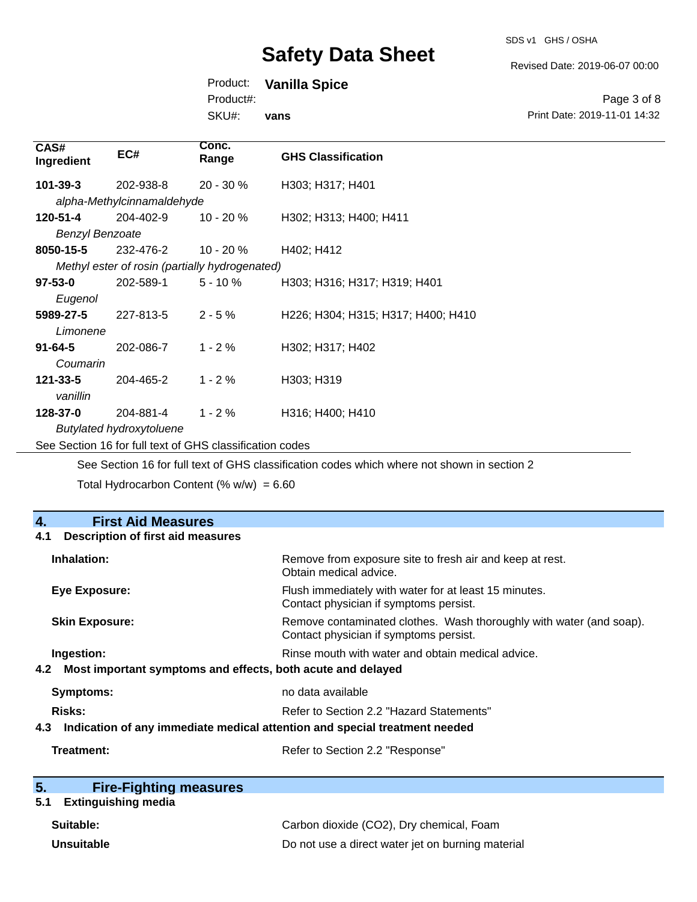SDS v1 GHS / OSHA

Revised Date: 2019-06-07 00:00

Page 3 of 8

Product: **Vanilla Spice**

Product#:

**SKU** 

| SKU#:<br>vans          |                            |                                                                                                                                                                                                                                                                                                                                                                                      | Print Date: 2019-11-01 14:32 |  |
|------------------------|----------------------------|--------------------------------------------------------------------------------------------------------------------------------------------------------------------------------------------------------------------------------------------------------------------------------------------------------------------------------------------------------------------------------------|------------------------------|--|
| CAS#<br>Ingredient     | EC#                        | Conc.<br>Range                                                                                                                                                                                                                                                                                                                                                                       | <b>GHS Classification</b>    |  |
| 101-39-3               | 202-938-8                  | $20 - 30 \%$                                                                                                                                                                                                                                                                                                                                                                         | H303; H317; H401             |  |
|                        | alpha-Methylcinnamaldehyde |                                                                                                                                                                                                                                                                                                                                                                                      |                              |  |
| 120-51-4               | 204-402-9                  | $10 - 20 \%$                                                                                                                                                                                                                                                                                                                                                                         | H302; H313; H400; H411       |  |
| <b>Benzyl Benzoate</b> |                            |                                                                                                                                                                                                                                                                                                                                                                                      |                              |  |
| 0050 AF F              | 0.001700                   | $\overline{A}$ $\overline{A}$ $\overline{A}$ $\overline{A}$ $\overline{A}$ $\overline{A}$ $\overline{A}$ $\overline{A}$ $\overline{A}$ $\overline{A}$ $\overline{A}$ $\overline{A}$ $\overline{A}$ $\overline{A}$ $\overline{A}$ $\overline{A}$ $\overline{A}$ $\overline{A}$ $\overline{A}$ $\overline{A}$ $\overline{A}$ $\overline{A}$ $\overline{A}$ $\overline{A}$ $\overline{$ | 11400.11440                  |  |

232-476-2 *Methyl ester of rosin (partially hydrogenated)* 8050-15-5 232-476-2 10 - 20 % H402; H412

**CAS#**

| $97 - 53 - 0$  | 202-589-1                       | $5 - 10 \%$ | H303; H316; H317; H319; H401       |
|----------------|---------------------------------|-------------|------------------------------------|
| Eugenol        |                                 |             |                                    |
| 5989-27-5      | 227-813-5                       | $2 - 5\%$   | H226; H304; H315; H317; H400; H410 |
| Limonene       |                                 |             |                                    |
| $91 - 64 - 5$  | 202-086-7                       | $1 - 2%$    | H302; H317; H402                   |
| Coumarin       |                                 |             |                                    |
| $121 - 33 - 5$ | 204-465-2                       | $1 - 2 \%$  | H303; H319                         |
| vanillin       |                                 |             |                                    |
| 128-37-0       | 204-881-4                       | $1 - 2 \%$  | H316; H400; H410                   |
|                | <b>Butylated hydroxytoluene</b> |             |                                    |

See Section 16 for full text of GHS classification codes

See Section 16 for full text of GHS classification codes which where not shown in section 2

Total Hydrocarbon Content (%  $w/w$ ) = 6.60

| 4.<br><b>First Aid Measures</b>                                                   |                                                                                                               |
|-----------------------------------------------------------------------------------|---------------------------------------------------------------------------------------------------------------|
| <b>Description of first aid measures</b><br>4.1                                   |                                                                                                               |
| Inhalation:                                                                       | Remove from exposure site to fresh air and keep at rest.<br>Obtain medical advice.                            |
| <b>Eye Exposure:</b>                                                              | Flush immediately with water for at least 15 minutes.<br>Contact physician if symptoms persist.               |
| <b>Skin Exposure:</b>                                                             | Remove contaminated clothes. Wash thoroughly with water (and soap).<br>Contact physician if symptoms persist. |
| Ingestion:                                                                        | Rinse mouth with water and obtain medical advice.                                                             |
| Most important symptoms and effects, both acute and delayed<br>4.2                |                                                                                                               |
| Symptoms:                                                                         | no data available                                                                                             |
| Risks:                                                                            | Refer to Section 2.2 "Hazard Statements"                                                                      |
| Indication of any immediate medical attention and special treatment needed<br>4.3 |                                                                                                               |
| Treatment:                                                                        | Refer to Section 2.2 "Response"                                                                               |

| 5. | <b>Fire-Fighting measures</b> |
|----|-------------------------------|
|    |                               |

### **5.1 Extinguishing media**

| Suitable:         | Carbon dioxide (CO2), Dry chemical, Foam          |
|-------------------|---------------------------------------------------|
| <b>Unsuitable</b> | Do not use a direct water jet on burning material |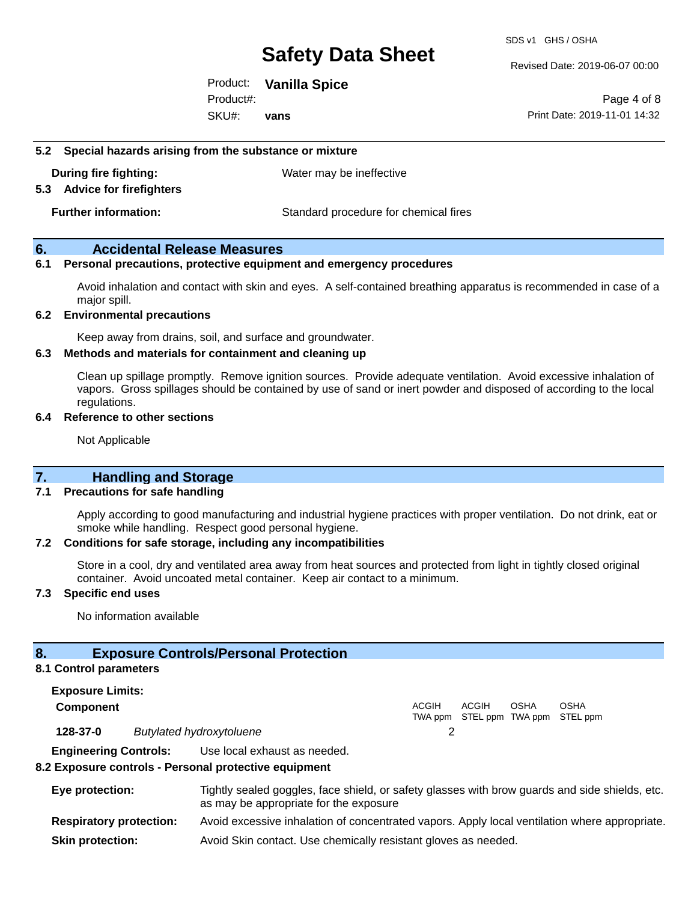Revised Date: 2019-06-07 00:00

Product: **Vanilla Spice** SKU#: Product#: **vans**

Page 4 of 8 Print Date: 2019-11-01 14:32

#### **5.2 Special hazards arising from the substance or mixture**

**During fire fighting:** Water may be ineffective

#### **5.3 Advice for firefighters**

**Further information:** Standard procedure for chemical fires

#### **6. Accidental Release Measures**

#### **6.1 Personal precautions, protective equipment and emergency procedures**

Avoid inhalation and contact with skin and eyes. A self-contained breathing apparatus is recommended in case of a major spill.

#### **6.2 Environmental precautions**

Keep away from drains, soil, and surface and groundwater.

#### **6.3 Methods and materials for containment and cleaning up**

Clean up spillage promptly. Remove ignition sources. Provide adequate ventilation. Avoid excessive inhalation of vapors. Gross spillages should be contained by use of sand or inert powder and disposed of according to the local regulations.

#### **6.4 Reference to other sections**

Not Applicable

#### **7. Handling and Storage**

#### **7.1 Precautions for safe handling**

Apply according to good manufacturing and industrial hygiene practices with proper ventilation. Do not drink, eat or smoke while handling. Respect good personal hygiene.

#### **7.2 Conditions for safe storage, including any incompatibilities**

Store in a cool, dry and ventilated area away from heat sources and protected from light in tightly closed original container. Avoid uncoated metal container. Keep air contact to a minimum.

#### **7.3 Specific end uses**

No information available

#### **8. Exposure Controls/Personal Protection**

#### **8.1 Control parameters**

**Exposure Limits: Component** ACGIH TWA ppm STEL ppm TWA ppm STEL ppm ACGIH **OSHA** OSHA **128-37-0** *Butylated hydroxytoluene* 2 **Engineering Controls:** Use local exhaust as needed.

#### **8.2 Exposure controls - Personal protective equipment**

| Eye protection:                | Tightly sealed goggles, face shield, or safety glasses with brow guards and side shields, etc.<br>as may be appropriate for the exposure |
|--------------------------------|------------------------------------------------------------------------------------------------------------------------------------------|
| <b>Respiratory protection:</b> | Avoid excessive inhalation of concentrated vapors. Apply local ventilation where appropriate.                                            |
| <b>Skin protection:</b>        | Avoid Skin contact. Use chemically resistant gloves as needed.                                                                           |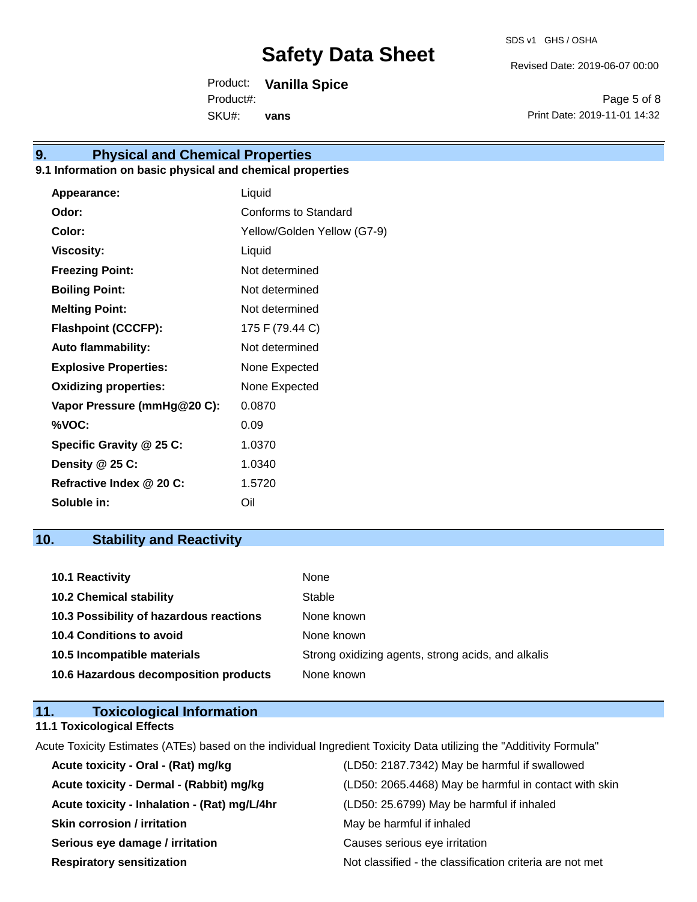Revised Date: 2019-06-07 00:00

Product: **Vanilla Spice** SKU#: Product#: **vans**

Page 5 of 8 Print Date: 2019-11-01 14:32

### **9. Physical and Chemical Properties**

#### **9.1 Information on basic physical and chemical properties**

| Appearance:                  | Liquid                      |
|------------------------------|-----------------------------|
| Odor:                        | Conforms to Standard        |
| Color:                       | Yellow/Golden Yellow (G7-9) |
| <b>Viscosity:</b>            | Liquid                      |
| <b>Freezing Point:</b>       | Not determined              |
| <b>Boiling Point:</b>        | Not determined              |
| <b>Melting Point:</b>        | Not determined              |
| <b>Flashpoint (CCCFP):</b>   | 175 F (79.44 C)             |
| <b>Auto flammability:</b>    | Not determined              |
| <b>Explosive Properties:</b> | None Expected               |
| <b>Oxidizing properties:</b> | None Expected               |
| Vapor Pressure (mmHg@20 C):  | 0.0870                      |
| %VOC:                        | 0.09                        |
| Specific Gravity @ 25 C:     | 1.0370                      |
| Density @ 25 C:              | 1.0340                      |
| Refractive Index @ 20 C:     | 1.5720                      |
| Soluble in:                  | Oil                         |

### **10. Stability and Reactivity**

| 10.1 Reactivity                         | None                                               |
|-----------------------------------------|----------------------------------------------------|
| <b>10.2 Chemical stability</b>          | Stable                                             |
| 10.3 Possibility of hazardous reactions | None known                                         |
| <b>10.4 Conditions to avoid</b>         | None known                                         |
| 10.5 Incompatible materials             | Strong oxidizing agents, strong acids, and alkalis |
| 10.6 Hazardous decomposition products   | None known                                         |

#### **11. Toxicological Information 11.1 Toxicological Effects**

Acute Toxicity Estimates (ATEs) based on the individual Ingredient Toxicity Data utilizing the "Additivity Formula"

| Acute toxicity - Oral - (Rat) mg/kg          | (LD50: 2187.7342) May be harmful if swallowed            |
|----------------------------------------------|----------------------------------------------------------|
| Acute toxicity - Dermal - (Rabbit) mg/kg     | (LD50: 2065.4468) May be harmful in contact with skin    |
| Acute toxicity - Inhalation - (Rat) mg/L/4hr | (LD50: 25.6799) May be harmful if inhaled                |
| <b>Skin corrosion / irritation</b>           | May be harmful if inhaled                                |
| Serious eye damage / irritation              | Causes serious eye irritation                            |
| <b>Respiratory sensitization</b>             | Not classified - the classification criteria are not met |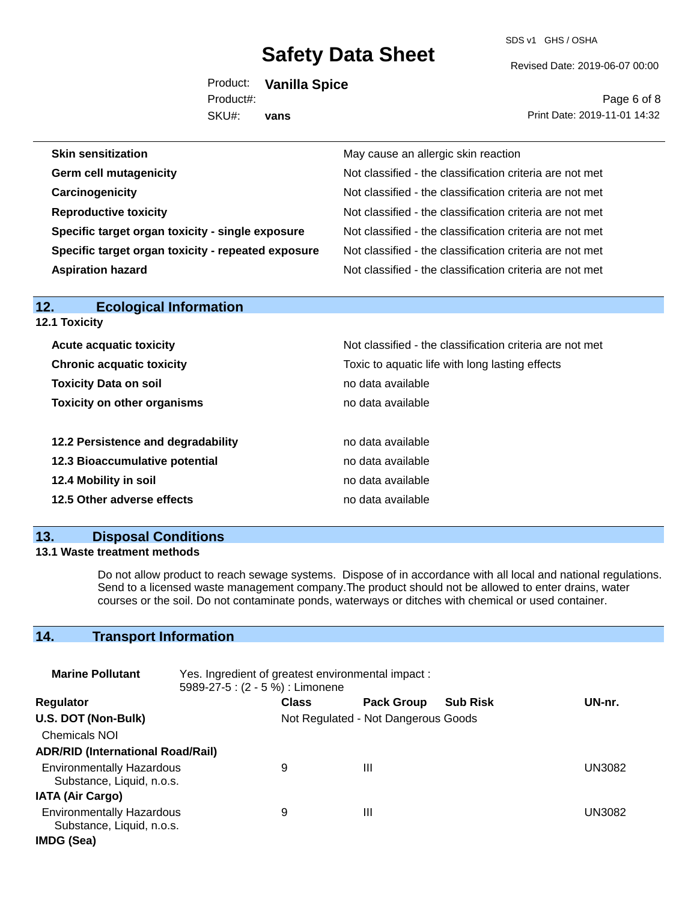SDS v1 GHS / OSHA

Revised Date: 2019-06-07 00:00

Product: **Vanilla Spice** SKU#: Product#: **vans**

Page 6 of 8 Print Date: 2019-11-01 14:32

| <b>Skin sensitization</b>                          | May cause an allergic skin reaction                      |
|----------------------------------------------------|----------------------------------------------------------|
| <b>Germ cell mutagenicity</b>                      | Not classified - the classification criteria are not met |
| Carcinogenicity                                    | Not classified - the classification criteria are not met |
| <b>Reproductive toxicity</b>                       | Not classified - the classification criteria are not met |
| Specific target organ toxicity - single exposure   | Not classified - the classification criteria are not met |
| Specific target organ toxicity - repeated exposure | Not classified - the classification criteria are not met |
| <b>Aspiration hazard</b>                           | Not classified - the classification criteria are not met |

| <b>12.1 Toxicity</b>               |                                                          |  |  |  |
|------------------------------------|----------------------------------------------------------|--|--|--|
| <b>Acute acquatic toxicity</b>     | Not classified - the classification criteria are not met |  |  |  |
| <b>Chronic acquatic toxicity</b>   | Toxic to aquatic life with long lasting effects          |  |  |  |
| <b>Toxicity Data on soil</b>       | no data available                                        |  |  |  |
| <b>Toxicity on other organisms</b> | no data available                                        |  |  |  |
| 12.2 Persistence and degradability | no data available                                        |  |  |  |
| 12.3 Bioaccumulative potential     | no data available                                        |  |  |  |
| 12.4 Mobility in soil              | no data available                                        |  |  |  |
| 12.5 Other adverse effects         | no data available                                        |  |  |  |

### **13. Disposal Conditions**

**12. Ecological Information** 

#### **13.1 Waste treatment methods**

Do not allow product to reach sewage systems. Dispose of in accordance with all local and national regulations. Send to a licensed waste management company.The product should not be allowed to enter drains, water courses or the soil. Do not contaminate ponds, waterways or ditches with chemical or used container.

### **14. Transport Information**

| <b>Marine Pollutant</b>                                       | Yes. Ingredient of greatest environmental impact:<br>5989-27-5 : (2 - 5 %) : Limonene |                                     |                   |                 |               |
|---------------------------------------------------------------|---------------------------------------------------------------------------------------|-------------------------------------|-------------------|-----------------|---------------|
| <b>Regulator</b>                                              |                                                                                       | <b>Class</b>                        | <b>Pack Group</b> | <b>Sub Risk</b> | UN-nr.        |
| U.S. DOT (Non-Bulk)                                           |                                                                                       | Not Regulated - Not Dangerous Goods |                   |                 |               |
| <b>Chemicals NOI</b>                                          |                                                                                       |                                     |                   |                 |               |
| <b>ADR/RID (International Road/Rail)</b>                      |                                                                                       |                                     |                   |                 |               |
| <b>Environmentally Hazardous</b><br>Substance, Liquid, n.o.s. |                                                                                       | 9                                   | Ш                 |                 | <b>UN3082</b> |
| <b>IATA (Air Cargo)</b>                                       |                                                                                       |                                     |                   |                 |               |
| <b>Environmentally Hazardous</b><br>Substance, Liquid, n.o.s. |                                                                                       | 9                                   | Ш                 |                 | <b>UN3082</b> |
| IMDG (Sea)                                                    |                                                                                       |                                     |                   |                 |               |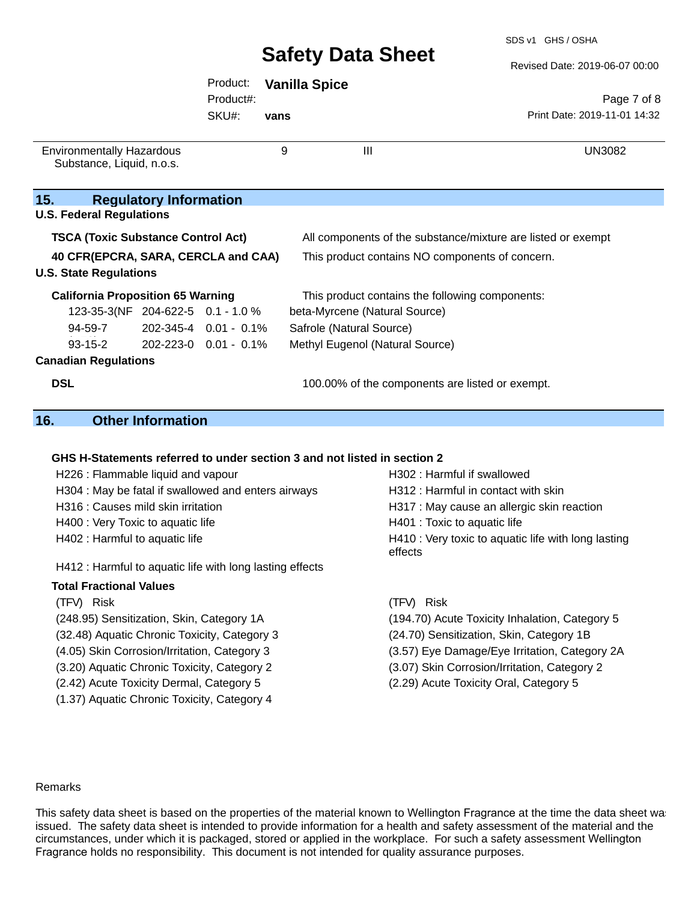Revised Date: 2019-06-07 00:00

|                                                               |                               |                       |      |                          |                                 | Revised Date: 2019-06-07 00:00                               |
|---------------------------------------------------------------|-------------------------------|-----------------------|------|--------------------------|---------------------------------|--------------------------------------------------------------|
|                                                               |                               | Product:              |      | <b>Vanilla Spice</b>     |                                 |                                                              |
|                                                               |                               | Product#:             |      |                          |                                 | Page 7 of 8                                                  |
|                                                               |                               | SKU#:                 | vans |                          |                                 | Print Date: 2019-11-01 14:32                                 |
| <b>Environmentally Hazardous</b><br>Substance, Liquid, n.o.s. |                               |                       | 9    |                          | $\mathbf{III}$                  | <b>UN3082</b>                                                |
| 15.<br><b>U.S. Federal Regulations</b>                        | <b>Regulatory Information</b> |                       |      |                          |                                 |                                                              |
| <b>TSCA (Toxic Substance Control Act)</b>                     |                               |                       |      |                          |                                 | All components of the substance/mixture are listed or exempt |
| 40 CFR(EPCRA, SARA, CERCLA and CAA)                           |                               |                       |      |                          |                                 | This product contains NO components of concern.              |
| <b>U.S. State Regulations</b>                                 |                               |                       |      |                          |                                 |                                                              |
| <b>California Proposition 65 Warning</b>                      |                               |                       |      |                          |                                 | This product contains the following components:              |
| 123-35-3(NF 204-622-5 0.1 - 1.0 %                             |                               |                       |      |                          | beta-Myrcene (Natural Source)   |                                                              |
| 94-59-7                                                       |                               | 202-345-4 0.01 - 0.1% |      | Safrole (Natural Source) |                                 |                                                              |
| $93 - 15 - 2$                                                 | 202-223-0 0.01 - 0.1%         |                       |      |                          | Methyl Eugenol (Natural Source) |                                                              |
| <b>Canadian Regulations</b>                                   |                               |                       |      |                          |                                 |                                                              |
| <b>DSL</b>                                                    |                               |                       |      |                          |                                 | 100.00% of the components are listed or exempt.              |

### **16. Other Information**

#### **GHS H-Statements referred to under section 3 and not listed in section 2**

| H226 : Flammable liquid and vapour                       | H302 : Harmful if swallowed                                    |
|----------------------------------------------------------|----------------------------------------------------------------|
| H304 : May be fatal if swallowed and enters airways      | H312 : Harmful in contact with skin                            |
| H316 : Causes mild skin irritation                       | H317 : May cause an allergic skin reaction                     |
| H400 : Very Toxic to aquatic life                        | H401 : Toxic to aquatic life                                   |
| H402 : Harmful to aquatic life                           | H410 : Very toxic to aquatic life with long lasting<br>effects |
| H412 : Harmful to aquatic life with long lasting effects |                                                                |
| <b>Total Fractional Values</b>                           |                                                                |
| (TFV) Risk                                               | (TFV) Risk                                                     |
| (248.95) Sensitization, Skin, Category 1A                | (194.70) Acute Toxicity Inhalation, Category 5                 |
| (32.48) Aquatic Chronic Toxicity, Category 3             | (24.70) Sensitization, Skin, Category 1B                       |
| (4.05) Skin Corrosion/Irritation, Category 3             | (3.57) Eye Damage/Eye Irritation, Category 2A                  |

(3.20) Aquatic Chronic Toxicity, Category 2 (3.07) Skin Corrosion/Irritation, Category 2

- (2.42) Acute Toxicity Dermal, Category 5 (2.29) Acute Toxicity Oral, Category 5
- (1.37) Aquatic Chronic Toxicity, Category 4

#### Remarks

This safety data sheet is based on the properties of the material known to Wellington Fragrance at the time the data sheet was issued. The safety data sheet is intended to provide information for a health and safety assessment of the material and the circumstances, under which it is packaged, stored or applied in the workplace. For such a safety assessment Wellington Fragrance holds no responsibility. This document is not intended for quality assurance purposes.